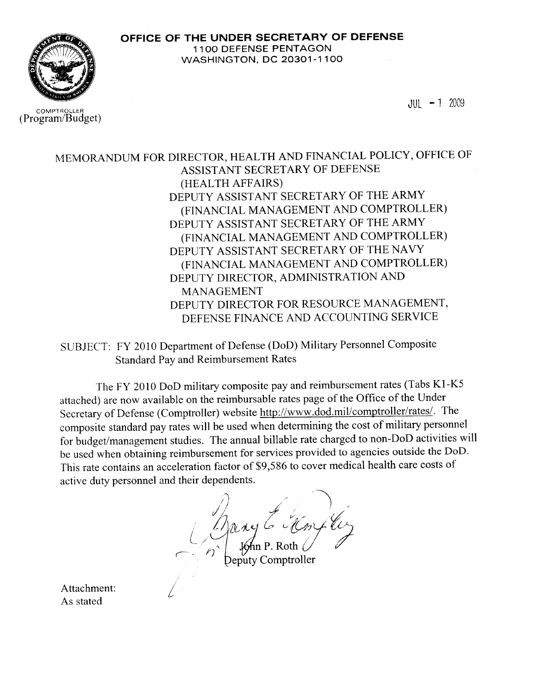

COMPTROLLER (Program/Budget)  $JUL - 1$  2009

MEMORANDUM FOR DIRECTOR, HEALTH AND FINANCIAL POLICY, OFFICE OF ASSISTANT SECRETARY OF DEFENSE (HEALTH AFFAIRS) DEPUTY ASSISTANT SECRETARY OF THE ARMY (FINANCIAL MANAGEMENT AND COMPTROLLER) DEPUTY ASSISTANT SECRETARY OF THE ARMY (FINANCIAL MANAGEMENT AND COMPTROLLER) DEPUTY ASSISTANT SECRETARY OF THE NAVY (FINANCIAL MANAGEMENT AND COMPTROLLER) DEPUTY DIRECTOR, ADMINISTRATION AND **MANAGEMENT** DEPUTY DIRECTOR FOR RESOURCE MANAGEMENT, DEFENSE FINANCE AND ACCOUNTING SERVICE

SUBJECT: FY 2010 Department of Defense (DoD) Military Personnel Composite **Standard Pay and Reimbursement Rates** 

The FY 2010 DoD military composite pay and reimbursement rates (Tabs K1-K5 attached) are now available on the reimbursable rates page of the Office of the Under Secretary of Defense (Comptroller) website http://www.dod.mil/comptroller/rates/. The composite standard pay rates will be used when determining the cost of military personnel for budget/management studies. The annual billable rate charged to non-DoD activities will be used when obtaining reimbursement for services provided to agencies outside the DoD. This rate contains an acceleration factor of \$9,586 to cover medical health care costs of active duty personnel and their dependents.

eputy Comptroller

Attachment: As stated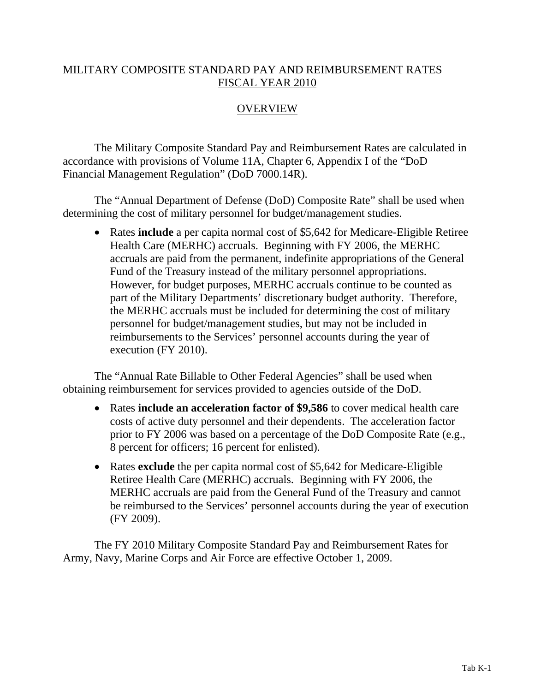## MILITARY COMPOSITE STANDARD PAY AND REIMBURSEMENT RATES FISCAL YEAR 2010

# **OVERVIEW**

 The Military Composite Standard Pay and Reimbursement Rates are calculated in accordance with provisions of Volume 11A, Chapter 6, Appendix I of the "DoD Financial Management Regulation" (DoD 7000.14R).

The "Annual Department of Defense (DoD) Composite Rate" shall be used when determining the cost of military personnel for budget/management studies.

• Rates **include** a per capita normal cost of \$5,642 for Medicare-Eligible Retiree Health Care (MERHC) accruals. Beginning with FY 2006, the MERHC accruals are paid from the permanent, indefinite appropriations of the General Fund of the Treasury instead of the military personnel appropriations. However, for budget purposes, MERHC accruals continue to be counted as part of the Military Departments' discretionary budget authority. Therefore, the MERHC accruals must be included for determining the cost of military personnel for budget/management studies, but may not be included in reimbursements to the Services' personnel accounts during the year of execution (FY 2010).

The "Annual Rate Billable to Other Federal Agencies" shall be used when obtaining reimbursement for services provided to agencies outside of the DoD.

- Rates **include an acceleration factor of \$9,586** to cover medical health care costs of active duty personnel and their dependents. The acceleration factor prior to FY 2006 was based on a percentage of the DoD Composite Rate (e.g., 8 percent for officers; 16 percent for enlisted).
- Rates **exclude** the per capita normal cost of \$5,642 for Medicare-Eligible Retiree Health Care (MERHC) accruals. Beginning with FY 2006, the MERHC accruals are paid from the General Fund of the Treasury and cannot be reimbursed to the Services' personnel accounts during the year of execution (FY 2009).

The FY 2010 Military Composite Standard Pay and Reimbursement Rates for Army, Navy, Marine Corps and Air Force are effective October 1, 2009.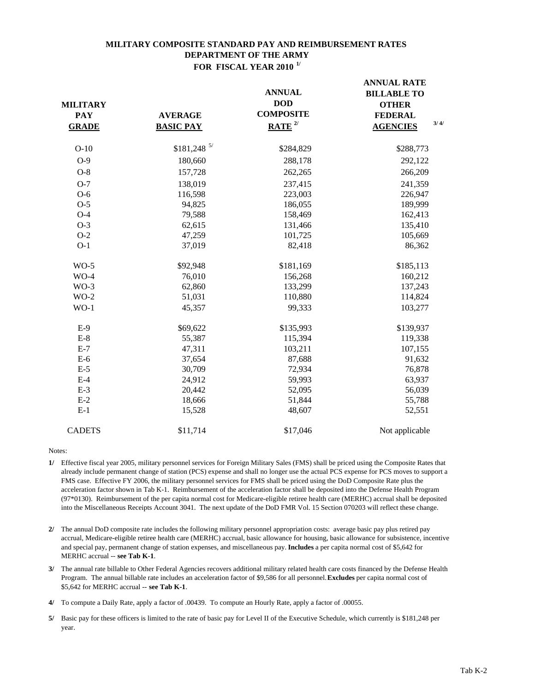#### **MILITARY COMPOSITE STANDARD PAY AND REIMBURSEMENT RATES DEPARTMENT OF THE ARMY FOR FISCAL YEAR 2010 1/**

| <b>MILITARY</b><br><b>PAY</b><br><b>GRADE</b> | <b>AVERAGE</b><br><b>BASIC PAY</b> | <b>ANNUAL</b><br><b>DOD</b><br><b>COMPOSITE</b><br>$RATE$ <sup>2/</sup> | <b>ANNUAL RATE</b><br><b>BILLABLE TO</b><br><b>OTHER</b><br><b>FEDERAL</b><br>3/4/<br><b>AGENCIES</b> |
|-----------------------------------------------|------------------------------------|-------------------------------------------------------------------------|-------------------------------------------------------------------------------------------------------|
|                                               |                                    |                                                                         |                                                                                                       |
| $O-10$                                        | $$181,248$ 5/                      | \$284,829                                                               | \$288,773                                                                                             |
| $O-9$                                         | 180,660                            | 288,178                                                                 | 292,122                                                                                               |
| $O-8$                                         | 157,728                            | 262,265                                                                 | 266,209                                                                                               |
| $O-7$                                         | 138,019                            | 237,415                                                                 | 241,359                                                                                               |
| $O-6$                                         | 116,598                            | 223,003                                                                 | 226,947                                                                                               |
| $O-5$                                         | 94,825                             | 186,055                                                                 | 189,999                                                                                               |
| $O-4$                                         | 79,588                             | 158,469                                                                 | 162,413                                                                                               |
| $O-3$                                         | 62,615                             | 131,466                                                                 | 135,410                                                                                               |
| $O-2$                                         | 47,259                             | 101,725                                                                 | 105,669                                                                                               |
| $O-1$                                         | 37,019                             | 82,418                                                                  | 86,362                                                                                                |
| $WO-5$                                        | \$92,948                           | \$181,169                                                               | \$185,113                                                                                             |
| $WO-4$                                        | 76,010                             | 156,268                                                                 | 160,212                                                                                               |
| $WO-3$                                        | 62,860                             | 133,299                                                                 | 137,243                                                                                               |
| $WO-2$                                        | 51,031                             | 110,880                                                                 | 114,824                                                                                               |
| $WO-1$                                        | 45,357                             | 99,333                                                                  | 103,277                                                                                               |
| $E-9$                                         | \$69,622                           | \$135,993                                                               | \$139,937                                                                                             |
| $E-8$                                         | 55,387                             | 115,394                                                                 | 119,338                                                                                               |
| $E-7$                                         | 47,311                             | 103,211                                                                 | 107,155                                                                                               |
| $E-6$                                         | 37,654                             | 87,688                                                                  | 91,632                                                                                                |
| $E-5$                                         | 30,709                             | 72,934                                                                  | 76,878                                                                                                |
| $E-4$                                         | 24,912                             | 59,993                                                                  | 63,937                                                                                                |
| $E-3$                                         | 20,442                             | 52,095                                                                  | 56,039                                                                                                |
| $E-2$                                         | 18,666                             | 51,844                                                                  | 55,788                                                                                                |
| $E-1$                                         | 15,528                             | 48,607                                                                  | 52,551                                                                                                |
| <b>CADETS</b>                                 | \$11,714                           | \$17,046                                                                | Not applicable                                                                                        |

- **1/** Effective fiscal year 2005, military personnel services for Foreign Military Sales (FMS) shall be priced using the Composite Rates that already include permanent change of station (PCS) expense and shall no longer use the actual PCS expense for PCS moves to support a FMS case. Effective FY 2006, the military personnel services for FMS shall be priced using the DoD Composite Rate plus the acceleration factor shown in Tab K-1. Reimbursement of the acceleration factor shall be deposited into the Defense Health Program (97\*0130). Reimbursement of the per capita normal cost for Medicare-eligible retiree health care (MERHC) accrual shall be deposited into the Miscellaneous Receipts Account 3041. The next update of the DoD FMR Vol. 15 Section 070203 will reflect these change.
- **2/** The annual DoD composite rate includes the following military personnel appropriation costs: average basic pay plus retired pay accrual, Medicare-eligible retiree health care (MERHC) accrual, basic allowance for housing, basic allowance for subsistence, incentive and special pay, permanent change of station expenses, and miscellaneous pay. **Includes** a per capita normal cost of \$5,642 for MERHC accrual -- **see Tab K-1**.
- **3/** The annual rate billable to Other Federal Agencies recovers additional military related health care costs financed by the Defense Health Program. The annual billable rate includes an acceleration factor of \$9,586 for all personnel. **Excludes** per capita normal cost of \$5,642 for MERHC accrual -- **see Tab K-1**.
- **4/** To compute a Daily Rate, apply a factor of .00439. To compute an Hourly Rate, apply a factor of .00055.
- **5/** Basic pay for these officers is limited to the rate of basic pay for Level II of the Executive Schedule, which currently is \$181,248 per year.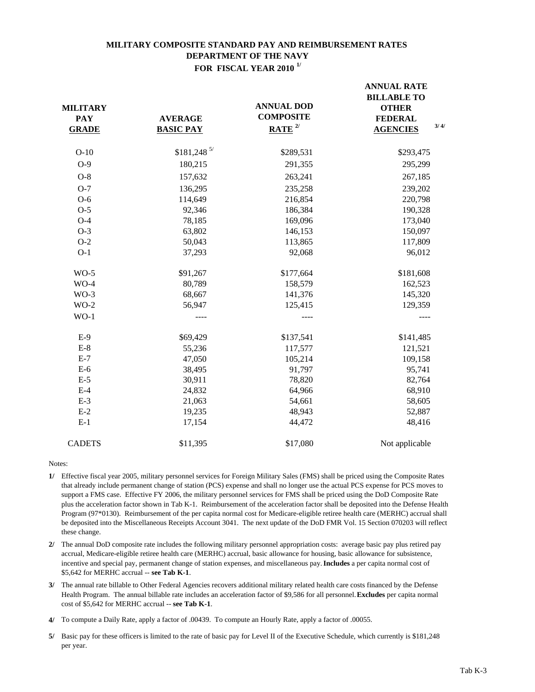## **MILITARY COMPOSITE STANDARD PAY AND REIMBURSEMENT RATES DEPARTMENT OF THE NAVY FOR FISCAL YEAR 2010 1/**

**ANNUAL RATE** 

| <b>MILITARY</b><br><b>PAY</b><br><b>GRADE</b> | <b>AVERAGE</b><br><b>BASIC PAY</b> | <b>ANNUAL DOD</b><br><b>COMPOSITE</b><br>$RATE$ <sup>2/</sup> | ANNUAL NATE<br><b>BILLABLE TO</b><br><b>OTHER</b><br><b>FEDERAL</b><br>3/4/<br><b>AGENCIES</b> |  |
|-----------------------------------------------|------------------------------------|---------------------------------------------------------------|------------------------------------------------------------------------------------------------|--|
| $O-10$                                        | $$181,248$ <sup>5/</sup>           | \$289,531                                                     | \$293,475                                                                                      |  |
| $O-9$                                         | 180,215                            | 291,355                                                       | 295,299                                                                                        |  |
| $O-8$                                         | 157,632                            | 263,241                                                       | 267,185                                                                                        |  |
| $O-7$                                         | 136,295                            | 235,258                                                       | 239,202                                                                                        |  |
| $O-6$                                         | 114,649                            | 216,854                                                       | 220,798                                                                                        |  |
| $O-5$                                         | 92,346                             | 186,384                                                       | 190,328                                                                                        |  |
| $O-4$                                         | 78,185                             | 169,096                                                       | 173,040                                                                                        |  |
| $O-3$                                         | 63,802                             | 146,153                                                       | 150,097                                                                                        |  |
| $O-2$                                         | 50,043                             | 113,865                                                       | 117,809                                                                                        |  |
| $O-1$                                         | 37,293                             | 92,068                                                        | 96,012                                                                                         |  |
| $WO-5$                                        | \$91,267                           | \$177,664                                                     | \$181,608                                                                                      |  |
| $WO-4$                                        | 80,789                             | 158,579                                                       | 162,523                                                                                        |  |
| $WO-3$                                        | 68,667                             | 141,376                                                       | 145,320                                                                                        |  |
| $WO-2$                                        | 56,947                             | 125,415                                                       | 129,359                                                                                        |  |
| $WO-1$                                        | ----                               | $---$                                                         | ----                                                                                           |  |
| $E-9$                                         | \$69,429                           | \$137,541                                                     | \$141,485                                                                                      |  |
| $E-8$                                         | 55,236                             | 117,577                                                       | 121,521                                                                                        |  |
| $E-7$                                         | 47,050                             | 105,214                                                       | 109,158                                                                                        |  |
| $E-6$                                         | 38,495                             | 91,797                                                        | 95,741                                                                                         |  |
| $E-5$                                         | 30,911                             | 78,820                                                        | 82,764                                                                                         |  |
| $E-4$                                         | 24,832                             | 64,966                                                        | 68,910                                                                                         |  |
| $E-3$                                         | 21,063                             | 54,661                                                        | 58,605                                                                                         |  |
| $E-2$                                         | 19,235                             | 48,943                                                        | 52,887                                                                                         |  |
| $E-1$                                         | 17,154                             | 44,472                                                        | 48,416                                                                                         |  |
| <b>CADETS</b>                                 | \$11,395                           | \$17,080                                                      | Not applicable                                                                                 |  |
|                                               |                                    |                                                               |                                                                                                |  |

- **1/** Effective fiscal year 2005, military personnel services for Foreign Military Sales (FMS) shall be priced using the Composite Rates that already include permanent change of station (PCS) expense and shall no longer use the actual PCS expense for PCS moves to support a FMS case. Effective FY 2006, the military personnel services for FMS shall be priced using the DoD Composite Rate plus the acceleration factor shown in Tab K-1. Reimbursement of the acceleration factor shall be deposited into the Defense Health Program (97\*0130). Reimbursement of the per capita normal cost for Medicare-eligible retiree health care (MERHC) accrual shall be deposited into the Miscellaneous Receipts Account 3041. The next update of the DoD FMR Vol. 15 Section 070203 will reflect these change.
- **2/** The annual DoD composite rate includes the following military personnel appropriation costs: average basic pay plus retired pay accrual, Medicare-eligible retiree health care (MERHC) accrual, basic allowance for housing, basic allowance for subsistence, incentive and special pay, permanent change of station expenses, and miscellaneous pay. **Includes** a per capita normal cost of \$5,642 for MERHC accrual -- **see Tab K-1**.
- **3/** The annual rate billable to Other Federal Agencies recovers additional military related health care costs financed by the Defense Health Program. The annual billable rate includes an acceleration factor of \$9,586 for all personnel. **Excludes** per capita normal cost of \$5,642 for MERHC accrual -- **see Tab K-1**.
- **4/** To compute a Daily Rate, apply a factor of .00439. To compute an Hourly Rate, apply a factor of .00055.
- **5/** Basic pay for these officers is limited to the rate of basic pay for Level II of the Executive Schedule, which currently is \$181,248 per year.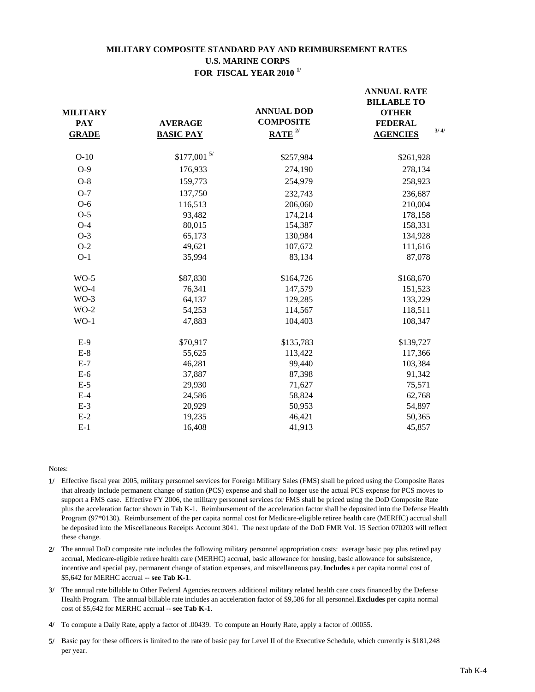## **MILITARY COMPOSITE STANDARD PAY AND REIMBURSEMENT RATES U.S. MARINE CORPS FOR FISCAL YEAR 2010 1/**

| <b>MILITARY</b><br><b>PAY</b><br><b>GRADE</b> | <b>AVERAGE</b><br><b>BASIC PAY</b> | <b>ANNUAL DOD</b><br><b>COMPOSITE</b><br>$RATE$ <sup>2/</sup> | <b>ANNUAL RATE</b><br><b>BILLABLE TO</b><br><b>OTHER</b><br><b>FEDERAL</b><br>3/4/<br><b>AGENCIES</b> |
|-----------------------------------------------|------------------------------------|---------------------------------------------------------------|-------------------------------------------------------------------------------------------------------|
| $O-10$                                        | $$177,001$ 5/                      | \$257,984                                                     | \$261,928                                                                                             |
| $O-9$                                         | 176,933                            | 274,190                                                       | 278,134                                                                                               |
| $O-8$                                         | 159,773                            | 254,979                                                       | 258,923                                                                                               |
| $O-7$                                         | 137,750                            | 232,743                                                       | 236,687                                                                                               |
| $O-6$                                         | 116,513                            | 206,060                                                       | 210,004                                                                                               |
| $O-5$                                         | 93,482                             | 174,214                                                       | 178,158                                                                                               |
| $O-4$                                         | 80,015                             | 154,387                                                       | 158,331                                                                                               |
| $O-3$                                         | 65,173                             | 130,984                                                       | 134,928                                                                                               |
| $O-2$                                         | 49,621                             | 107,672                                                       | 111,616                                                                                               |
| $O-1$                                         | 35,994                             | 83,134                                                        | 87,078                                                                                                |
| $WO-5$                                        | \$87,830                           | \$164,726                                                     | \$168,670                                                                                             |
| $WO-4$                                        | 76,341                             | 147,579                                                       | 151,523                                                                                               |
| $WO-3$                                        | 64,137                             | 129,285                                                       | 133,229                                                                                               |
| $WO-2$                                        | 54,253                             | 114,567                                                       | 118,511                                                                                               |
| $WO-1$                                        | 47,883                             | 104,403                                                       | 108,347                                                                                               |
| $E-9$                                         | \$70,917                           | \$135,783                                                     | \$139,727                                                                                             |
| $E-8$                                         | 55,625                             | 113,422                                                       | 117,366                                                                                               |
| $E-7$                                         | 46,281                             | 99,440                                                        | 103,384                                                                                               |
| $E-6$                                         | 37,887                             | 87,398                                                        | 91,342                                                                                                |
| $E-5$                                         | 29,930                             | 71,627                                                        | 75,571                                                                                                |
| $E-4$                                         | 24,586                             | 58,824                                                        | 62,768                                                                                                |
| $E-3$                                         | 20,929                             | 50,953                                                        | 54,897                                                                                                |
| $E-2$                                         | 19,235                             | 46,421                                                        | 50,365                                                                                                |
| $E-1$                                         | 16,408                             | 41,913                                                        | 45,857                                                                                                |

- **1/** Effective fiscal year 2005, military personnel services for Foreign Military Sales (FMS) shall be priced using the Composite Rates that already include permanent change of station (PCS) expense and shall no longer use the actual PCS expense for PCS moves to support a FMS case. Effective FY 2006, the military personnel services for FMS shall be priced using the DoD Composite Rate plus the acceleration factor shown in Tab K-1. Reimbursement of the acceleration factor shall be deposited into the Defense Health Program (97\*0130). Reimbursement of the per capita normal cost for Medicare-eligible retiree health care (MERHC) accrual shall be deposited into the Miscellaneous Receipts Account 3041. The next update of the DoD FMR Vol. 15 Section 070203 will reflect these change.
- **2/** The annual DoD composite rate includes the following military personnel appropriation costs: average basic pay plus retired pay accrual, Medicare-eligible retiree health care (MERHC) accrual, basic allowance for housing, basic allowance for subsistence, incentive and special pay, permanent change of station expenses, and miscellaneous pay. **Includes** a per capita normal cost of \$5,642 for MERHC accrual -- **see Tab K-1**.
- **3/** The annual rate billable to Other Federal Agencies recovers additional military related health care costs financed by the Defense Health Program. The annual billable rate includes an acceleration factor of \$9,586 for all personnel. **Excludes** per capita normal cost of \$5,642 for MERHC accrual -- **see Tab K-1**.
- **4/** To compute a Daily Rate, apply a factor of .00439. To compute an Hourly Rate, apply a factor of .00055.
- **5/** Basic pay for these officers is limited to the rate of basic pay for Level II of the Executive Schedule, which currently is \$181,248 per year.